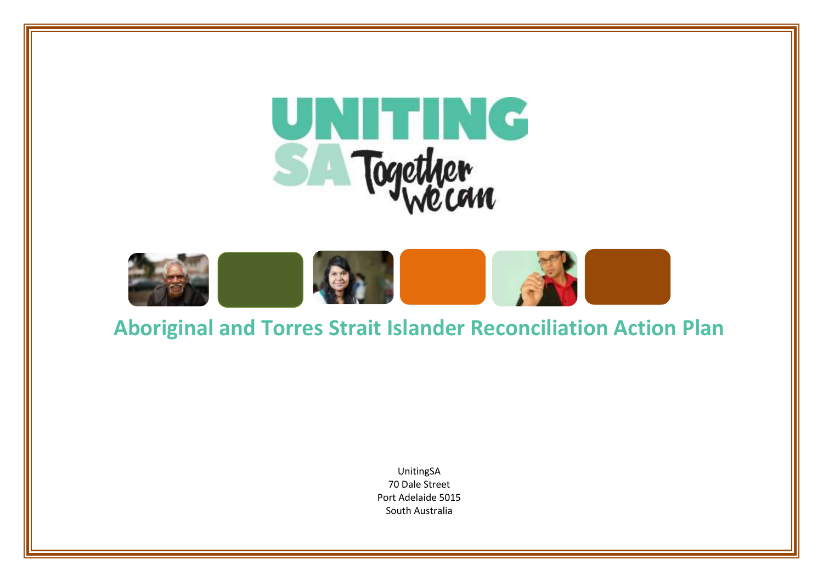



# **Aboriginal and Torres Strait Islander Reconciliation Action Plan**

UnitingSA 70 Dale Street Port Adelaide 5015 South Australia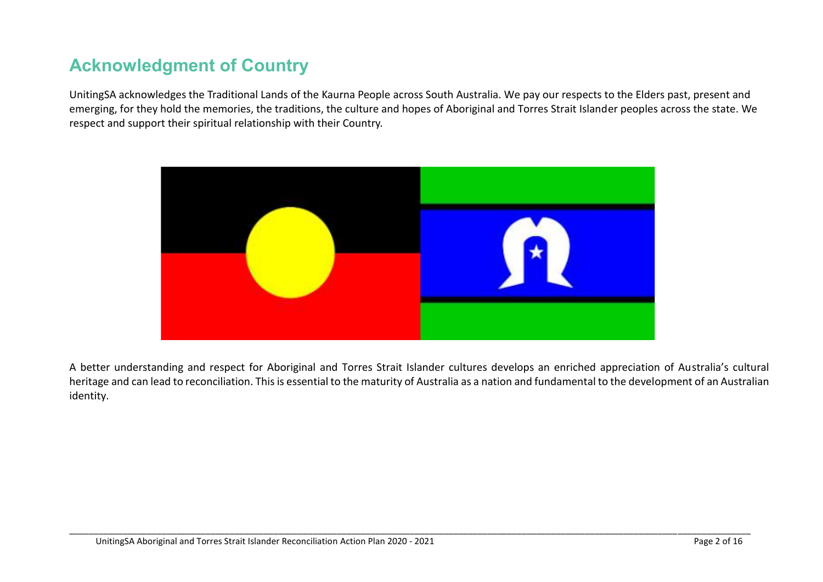## **Acknowledgment of Country**

UnitingSA acknowledges the Traditional Lands of the Kaurna People across South Australia. We pay our respects to the Elders past, present and emerging, for they hold the memories, the traditions, the culture and hopes of Aboriginal and Torres Strait Islander peoples across the state. We respect and support their spiritual relationship with their Country.



A better understanding and respect for Aboriginal and Torres Strait Islander cultures develops an enriched appreciation of Australia's cultural heritage and can lead to reconciliation. This is essential to the maturity of Australia as a nation and fundamental to the development of an Australian identity.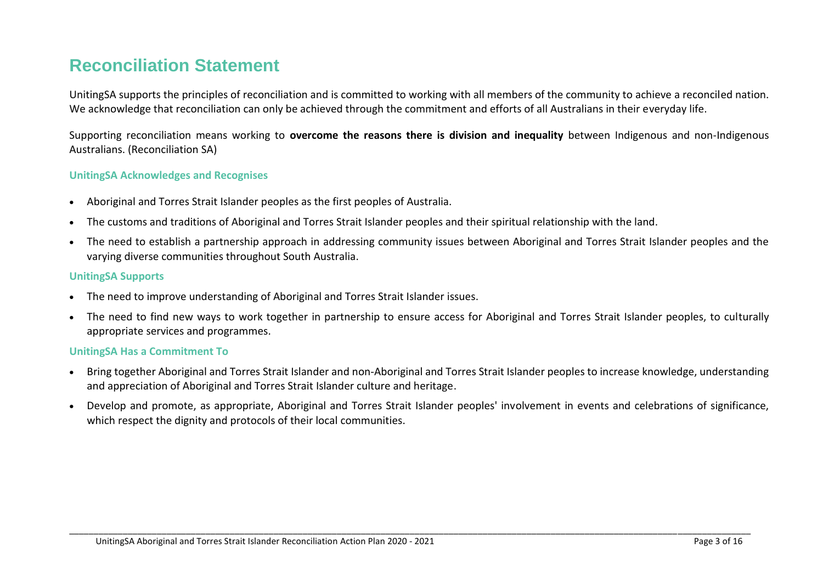### **Reconciliation Statement**

UnitingSA supports the principles of reconciliation and is committed to working with all members of the community to achieve a reconciled nation. We acknowledge that reconciliation can only be achieved through the commitment and efforts of all Australians in their everyday life.

Supporting reconciliation means working to **overcome the reasons there is division and inequality** between Indigenous and non-Indigenous Australians. (Reconciliation SA)

#### **UnitingSA Acknowledges and Recognises**

- Aboriginal and Torres Strait Islander peoples as the first peoples of Australia.
- The customs and traditions of Aboriginal and Torres Strait Islander peoples and their spiritual relationship with the land.
- The need to establish a partnership approach in addressing community issues between Aboriginal and Torres Strait Islander peoples and the varying diverse communities throughout South Australia.

#### **UnitingSA Supports**

- The need to improve understanding of Aboriginal and Torres Strait Islander issues.
- The need to find new ways to work together in partnership to ensure access for Aboriginal and Torres Strait Islander peoples, to culturally appropriate services and programmes.

#### **UnitingSA Has a Commitment To**

- Bring together Aboriginal and Torres Strait Islander and non-Aboriginal and Torres Strait Islander peoples to increase knowledge, understanding and appreciation of Aboriginal and Torres Strait Islander culture and heritage.
- Develop and promote, as appropriate, Aboriginal and Torres Strait Islander peoples' involvement in events and celebrations of significance, which respect the dignity and protocols of their local communities.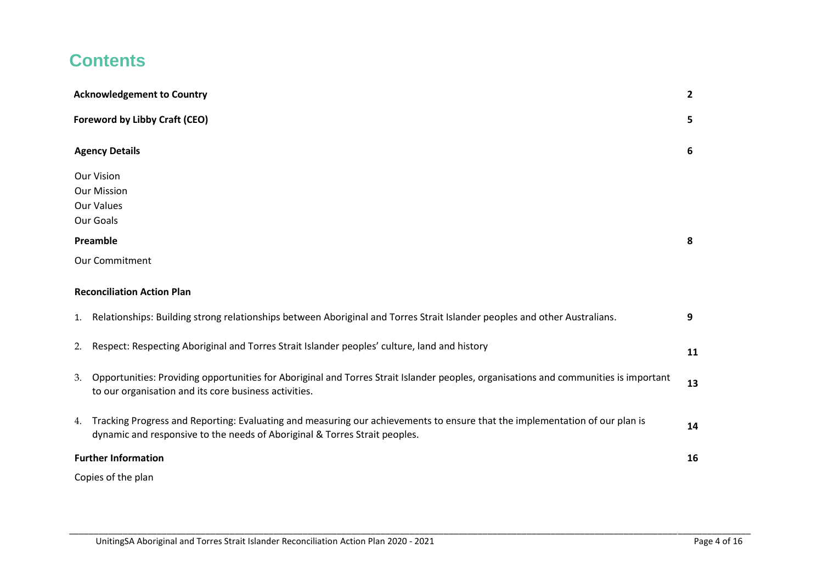## **Contents**

|    | <b>Acknowledgement to Country</b>                                                                                                                                                                         | $\mathbf{2}$ |
|----|-----------------------------------------------------------------------------------------------------------------------------------------------------------------------------------------------------------|--------------|
|    | <b>Foreword by Libby Craft (CEO)</b>                                                                                                                                                                      | 5            |
|    | <b>Agency Details</b>                                                                                                                                                                                     | 6            |
|    | <b>Our Vision</b>                                                                                                                                                                                         |              |
|    | <b>Our Mission</b>                                                                                                                                                                                        |              |
|    | <b>Our Values</b>                                                                                                                                                                                         |              |
|    | Our Goals                                                                                                                                                                                                 |              |
|    | Preamble                                                                                                                                                                                                  | 8            |
|    | Our Commitment                                                                                                                                                                                            |              |
|    | <b>Reconciliation Action Plan</b>                                                                                                                                                                         |              |
|    | 1. Relationships: Building strong relationships between Aboriginal and Torres Strait Islander peoples and other Australians.                                                                              | 9            |
| 2. | Respect: Respecting Aboriginal and Torres Strait Islander peoples' culture, land and history                                                                                                              | 11           |
| 3. | Opportunities: Providing opportunities for Aboriginal and Torres Strait Islander peoples, organisations and communities is important<br>to our organisation and its core business activities.             | 13           |
| 4. | Tracking Progress and Reporting: Evaluating and measuring our achievements to ensure that the implementation of our plan is<br>dynamic and responsive to the needs of Aboriginal & Torres Strait peoples. | 14           |
|    | <b>Further Information</b>                                                                                                                                                                                | 16           |
|    | Copies of the plan                                                                                                                                                                                        |              |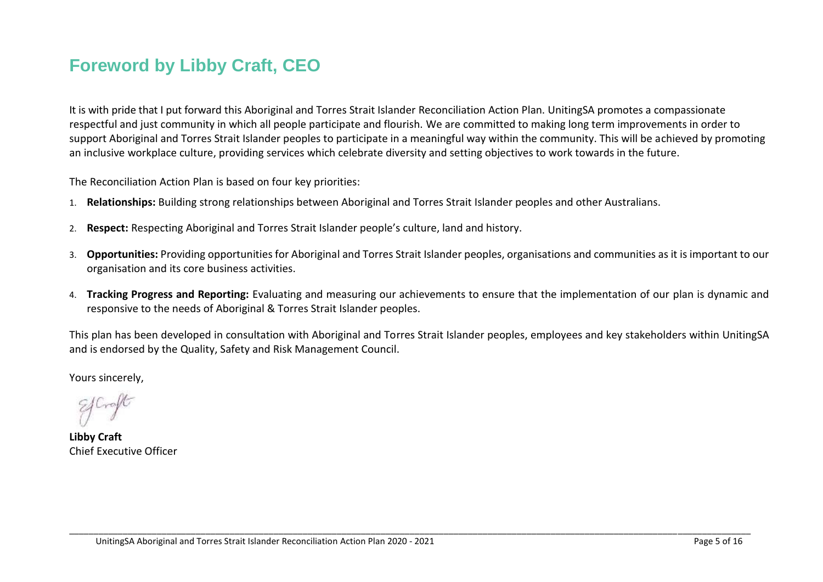## **Foreword by Libby Craft, CEO**

It is with pride that I put forward this Aboriginal and Torres Strait Islander Reconciliation Action Plan. UnitingSA promotes a compassionate respectful and just community in which all people participate and flourish. We are committed to making long term improvements in order to support Aboriginal and Torres Strait Islander peoples to participate in a meaningful way within the community. This will be achieved by promoting an inclusive workplace culture, providing services which celebrate diversity and setting objectives to work towards in the future.

The Reconciliation Action Plan is based on four key priorities:

- 1. **Relationships:** Building strong relationships between Aboriginal and Torres Strait Islander peoples and other Australians.
- 2. **Respect:** Respecting Aboriginal and Torres Strait Islander people's culture, land and history.
- 3. **Opportunities:** Providing opportunities for Aboriginal and Torres Strait Islander peoples, organisations and communities as it is important to our organisation and its core business activities.
- 4. **Tracking Progress and Reporting:** Evaluating and measuring our achievements to ensure that the implementation of our plan is dynamic and responsive to the needs of Aboriginal & Torres Strait Islander peoples.

This plan has been developed in consultation with Aboriginal and Torres Strait Islander peoples, employees and key stakeholders within UnitingSA and is endorsed by the Quality, Safety and Risk Management Council.

\_\_\_\_\_\_\_\_\_\_\_\_\_\_\_\_\_\_\_\_\_\_\_\_\_\_\_\_\_\_\_\_\_\_\_\_\_\_\_\_\_\_\_\_\_\_\_\_\_\_\_\_\_\_\_\_\_\_\_\_\_\_\_\_\_\_\_\_\_\_\_\_\_\_\_\_\_\_\_\_\_\_\_\_\_\_\_\_\_\_\_\_\_\_\_\_\_\_\_\_\_\_\_\_\_\_\_\_\_\_\_\_\_\_\_\_\_\_\_\_\_\_\_\_\_\_\_\_\_\_\_\_\_\_\_\_\_\_\_\_

Yours sincerely,

**Libby Craft**  Chief Executive Officer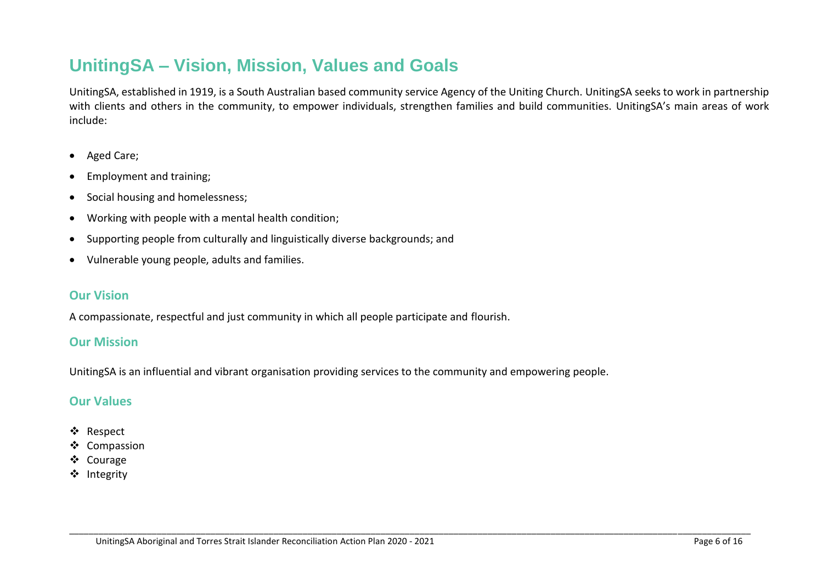## **UnitingSA – Vision, Mission, Values and Goals**

UnitingSA, established in 1919, is a South Australian based community service Agency of the Uniting Church. UnitingSA seeks to work in partnership with clients and others in the community, to empower individuals, strengthen families and build communities. UnitingSA's main areas of work include:

\_\_\_\_\_\_\_\_\_\_\_\_\_\_\_\_\_\_\_\_\_\_\_\_\_\_\_\_\_\_\_\_\_\_\_\_\_\_\_\_\_\_\_\_\_\_\_\_\_\_\_\_\_\_\_\_\_\_\_\_\_\_\_\_\_\_\_\_\_\_\_\_\_\_\_\_\_\_\_\_\_\_\_\_\_\_\_\_\_\_\_\_\_\_\_\_\_\_\_\_\_\_\_\_\_\_\_\_\_\_\_\_\_\_\_\_\_\_\_\_\_\_\_\_\_\_\_\_\_\_\_\_\_\_\_\_\_\_\_\_

- Aged Care;
- Employment and training;
- Social housing and homelessness:
- Working with people with a mental health condition;
- Supporting people from culturally and linguistically diverse backgrounds; and
- Vulnerable young people, adults and families.

#### **Our Vision**

A compassionate, respectful and just community in which all people participate and flourish.

#### **Our Mission**

UnitingSA is an influential and vibrant organisation providing services to the community and empowering people.

### **Our Values**

- ❖ Respect
- $\triangleleft$  Compassion
- Courage
- ❖ Integrity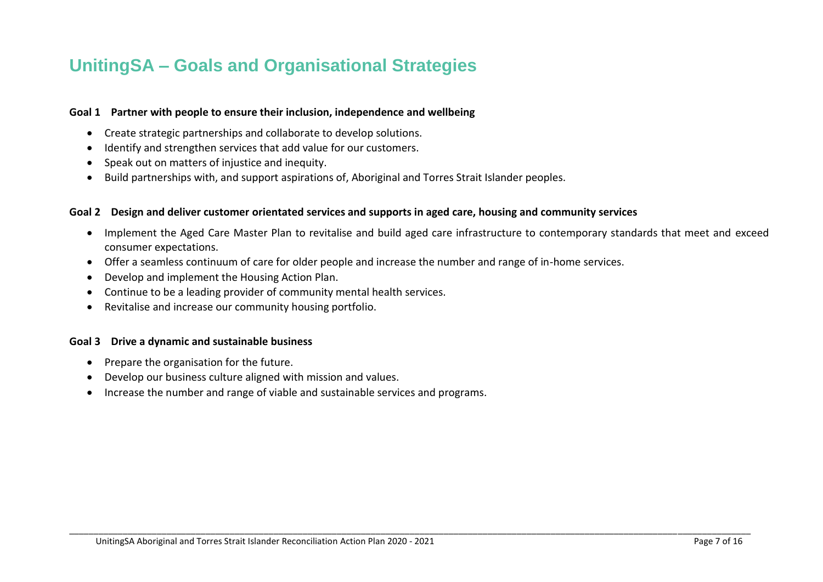### **UnitingSA – Goals and Organisational Strategies**

#### **Goal 1 Partner with people to ensure their inclusion, independence and wellbeing**

- Create strategic partnerships and collaborate to develop solutions.
- Identify and strengthen services that add value for our customers.
- Speak out on matters of injustice and inequity.
- Build partnerships with, and support aspirations of, Aboriginal and Torres Strait Islander peoples.

#### **Goal 2 Design and deliver customer orientated services and supports in aged care, housing and community services**

 Implement the Aged Care Master Plan to revitalise and build aged care infrastructure to contemporary standards that meet and exceed consumer expectations.

\_\_\_\_\_\_\_\_\_\_\_\_\_\_\_\_\_\_\_\_\_\_\_\_\_\_\_\_\_\_\_\_\_\_\_\_\_\_\_\_\_\_\_\_\_\_\_\_\_\_\_\_\_\_\_\_\_\_\_\_\_\_\_\_\_\_\_\_\_\_\_\_\_\_\_\_\_\_\_\_\_\_\_\_\_\_\_\_\_\_\_\_\_\_\_\_\_\_\_\_\_\_\_\_\_\_\_\_\_\_\_\_\_\_\_\_\_\_\_\_\_\_\_\_\_\_\_\_\_\_\_\_\_\_\_\_\_\_\_\_

- Offer a seamless continuum of care for older people and increase the number and range of in-home services.
- Develop and implement the Housing Action Plan.
- Continue to be a leading provider of community mental health services.
- Revitalise and increase our community housing portfolio.

#### **Goal 3 Drive a dynamic and sustainable business**

- Prepare the organisation for the future.
- Develop our business culture aligned with mission and values.
- Increase the number and range of viable and sustainable services and programs.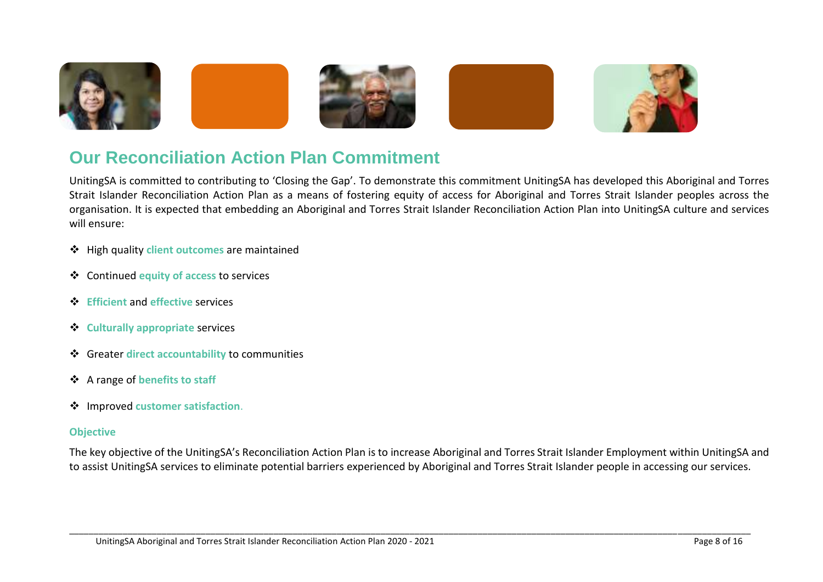

## **Our Reconciliation Action Plan Commitment**

UnitingSA is committed to contributing to 'Closing the Gap'. To demonstrate this commitment UnitingSA has developed this Aboriginal and Torres Strait Islander Reconciliation Action Plan as a means of fostering equity of access for Aboriginal and Torres Strait Islander peoples across the organisation. It is expected that embedding an Aboriginal and Torres Strait Islander Reconciliation Action Plan into UnitingSA culture and services will ensure:

- High quality **client outcomes** are maintained
- Continued **equity of access** to services
- **Efficient** and **effective** services
- **Culturally appropriate** services
- Greater **direct accountability** to communities
- A range of **benefits to staff**
- Improved **customer satisfaction**.

#### **Objective**

The key objective of the UnitingSA's Reconciliation Action Plan is to increase Aboriginal and Torres Strait Islander Employment within UnitingSA and to assist UnitingSA services to eliminate potential barriers experienced by Aboriginal and Torres Strait Islander people in accessing our services.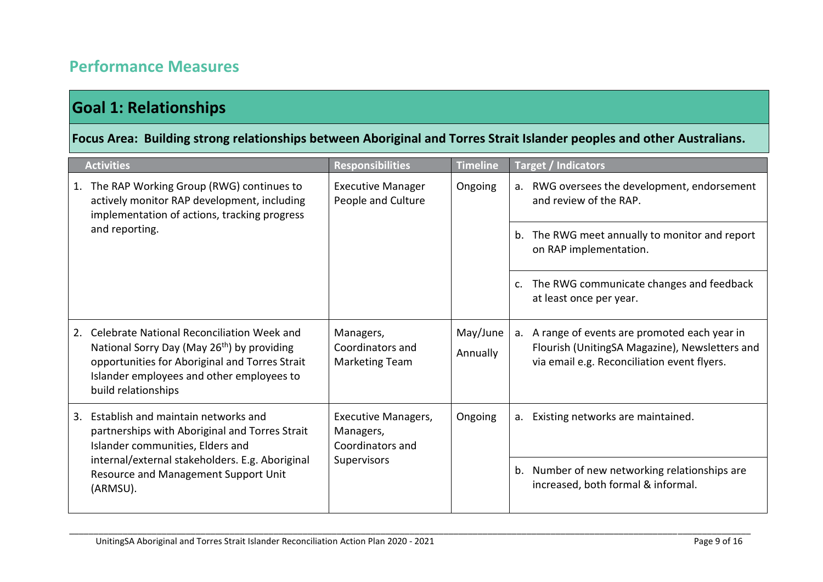### **Performance Measures**

### **Goal 1: Relationships**

### **Focus Area: Building strong relationships between Aboriginal and Torres Strait Islander peoples and other Australians.**

|    | <b>Activities</b>                                                                                                                                                                                                                | <b>Responsibilities</b>                                                    | <b>Timeline</b>      | <b>Target / Indicators</b>                                                                                                                      |
|----|----------------------------------------------------------------------------------------------------------------------------------------------------------------------------------------------------------------------------------|----------------------------------------------------------------------------|----------------------|-------------------------------------------------------------------------------------------------------------------------------------------------|
| 1. | The RAP Working Group (RWG) continues to<br>actively monitor RAP development, including<br>implementation of actions, tracking progress<br>and reporting.                                                                        | <b>Executive Manager</b><br>People and Culture                             | Ongoing              | RWG oversees the development, endorsement<br>a.<br>and review of the RAP.                                                                       |
|    |                                                                                                                                                                                                                                  |                                                                            |                      | The RWG meet annually to monitor and report<br>b.<br>on RAP implementation.                                                                     |
|    |                                                                                                                                                                                                                                  |                                                                            |                      | The RWG communicate changes and feedback<br>C <sub>1</sub><br>at least once per year.                                                           |
| 2. | Celebrate National Reconciliation Week and<br>National Sorry Day (May 26 <sup>th</sup> ) by providing<br>opportunities for Aboriginal and Torres Strait<br>Islander employees and other employees to<br>build relationships      | Managers,<br>Coordinators and<br><b>Marketing Team</b>                     | May/June<br>Annually | a. A range of events are promoted each year in<br>Flourish (UnitingSA Magazine), Newsletters and<br>via email e.g. Reconciliation event flyers. |
| 3. | Establish and maintain networks and<br>partnerships with Aboriginal and Torres Strait<br>Islander communities, Elders and<br>internal/external stakeholders. E.g. Aboriginal<br>Resource and Management Support Unit<br>(ARMSU). | <b>Executive Managers,</b><br>Managers,<br>Coordinators and<br>Supervisors | Ongoing              | Existing networks are maintained.<br>a.                                                                                                         |
|    |                                                                                                                                                                                                                                  |                                                                            |                      | Number of new networking relationships are<br>b.<br>increased, both formal & informal.                                                          |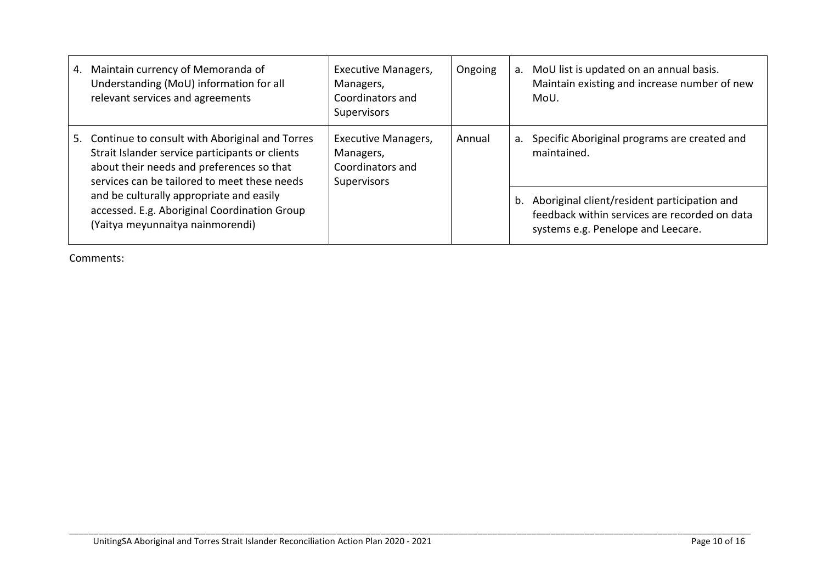| 4. | Maintain currency of Memoranda of<br>Understanding (MoU) information for all<br>relevant services and agreements                                                                               | Executive Managers,<br>Managers,<br>Coordinators and<br>Supervisors        | Ongoing | a. | MoU list is updated on an annual basis.<br>Maintain existing and increase number of new<br>MoU.                                     |                                                             |
|----|------------------------------------------------------------------------------------------------------------------------------------------------------------------------------------------------|----------------------------------------------------------------------------|---------|----|-------------------------------------------------------------------------------------------------------------------------------------|-------------------------------------------------------------|
| 5. | Continue to consult with Aboriginal and Torres<br>Strait Islander service participants or clients<br>about their needs and preferences so that<br>services can be tailored to meet these needs | <b>Executive Managers,</b><br>Managers,<br>Coordinators and<br>Supervisors | Annual  |    | a.                                                                                                                                  | Specific Aboriginal programs are created and<br>maintained. |
|    | and be culturally appropriate and easily<br>accessed. E.g. Aboriginal Coordination Group<br>(Yaitya meyunnaitya nainmorendi)                                                                   |                                                                            |         | b. | Aboriginal client/resident participation and<br>feedback within services are recorded on data<br>systems e.g. Penelope and Leecare. |                                                             |

\_\_\_\_\_\_\_\_\_\_\_\_\_\_\_\_\_\_\_\_\_\_\_\_\_\_\_\_\_\_\_\_\_\_\_\_\_\_\_\_\_\_\_\_\_\_\_\_\_\_\_\_\_\_\_\_\_\_\_\_\_\_\_\_\_\_\_\_\_\_\_\_\_\_\_\_\_\_\_\_\_\_\_\_\_\_\_\_\_\_\_\_\_\_\_\_\_\_\_\_\_\_\_\_\_\_\_\_\_\_\_\_\_\_\_\_\_\_\_\_\_\_\_\_\_\_\_\_\_\_\_\_\_\_\_\_\_\_\_\_

Comments: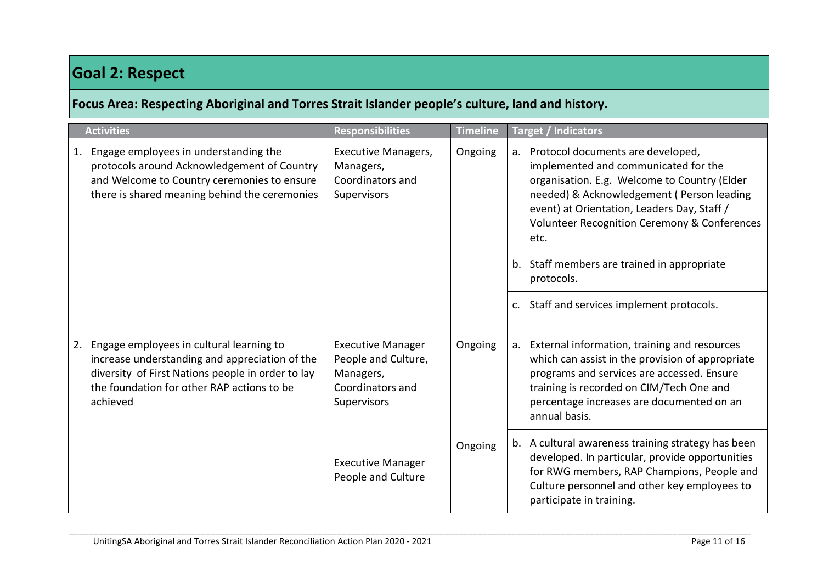### **Goal 2: Respect**

**Focus Area: Respecting Aboriginal and Torres Strait Islander people's culture, land and history.** 

|    | <b>Activities</b>                                                                                                                                                                                         | <b>Responsibilities</b>                                                                         | <b>Timeline</b> | <b>Target / Indicators</b>                                                                                                                                                                                                                                                        |
|----|-----------------------------------------------------------------------------------------------------------------------------------------------------------------------------------------------------------|-------------------------------------------------------------------------------------------------|-----------------|-----------------------------------------------------------------------------------------------------------------------------------------------------------------------------------------------------------------------------------------------------------------------------------|
| 1. | Engage employees in understanding the<br>protocols around Acknowledgement of Country<br>and Welcome to Country ceremonies to ensure<br>there is shared meaning behind the ceremonies                      | <b>Executive Managers,</b><br>Managers,<br>Coordinators and<br>Supervisors                      | Ongoing         | a. Protocol documents are developed,<br>implemented and communicated for the<br>organisation. E.g. Welcome to Country (Elder<br>needed) & Acknowledgement ( Person leading<br>event) at Orientation, Leaders Day, Staff /<br>Volunteer Recognition Ceremony & Conferences<br>etc. |
|    |                                                                                                                                                                                                           |                                                                                                 |                 | b. Staff members are trained in appropriate<br>protocols.                                                                                                                                                                                                                         |
|    |                                                                                                                                                                                                           |                                                                                                 |                 | c. Staff and services implement protocols.                                                                                                                                                                                                                                        |
| 2. | Engage employees in cultural learning to<br>increase understanding and appreciation of the<br>diversity of First Nations people in order to lay<br>the foundation for other RAP actions to be<br>achieved | <b>Executive Manager</b><br>People and Culture,<br>Managers,<br>Coordinators and<br>Supervisors | Ongoing         | a. External information, training and resources<br>which can assist in the provision of appropriate<br>programs and services are accessed. Ensure<br>training is recorded on CIM/Tech One and<br>percentage increases are documented on an<br>annual basis.                       |
|    |                                                                                                                                                                                                           | <b>Executive Manager</b><br>People and Culture                                                  | Ongoing         | b. A cultural awareness training strategy has been<br>developed. In particular, provide opportunities<br>for RWG members, RAP Champions, People and<br>Culture personnel and other key employees to<br>participate in training.                                                   |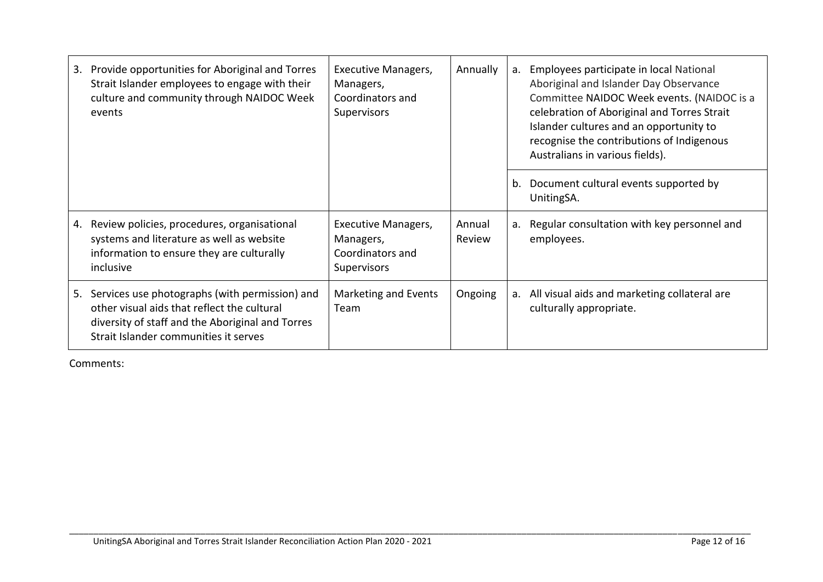| 3. | Provide opportunities for Aboriginal and Torres<br>Strait Islander employees to engage with their<br>culture and community through NAIDOC Week<br>events                                   | <b>Executive Managers,</b><br>Managers,<br>Coordinators and<br>Supervisors | Annually         |  | a. Employees participate in local National<br>Aboriginal and Islander Day Observance<br>celebration of Aboriginal and Torres Strait<br>Islander cultures and an opportunity to<br>recognise the contributions of Indigenous<br>Australians in various fields). | Committee NAIDOC Week events. (NAIDOC is a |
|----|--------------------------------------------------------------------------------------------------------------------------------------------------------------------------------------------|----------------------------------------------------------------------------|------------------|--|----------------------------------------------------------------------------------------------------------------------------------------------------------------------------------------------------------------------------------------------------------------|--------------------------------------------|
|    |                                                                                                                                                                                            |                                                                            |                  |  | b. Document cultural events supported by<br>UnitingSA.                                                                                                                                                                                                         |                                            |
| 4. | Review policies, procedures, organisational<br>systems and literature as well as website<br>information to ensure they are culturally<br>inclusive                                         | <b>Executive Managers,</b><br>Managers,<br>Coordinators and<br>Supervisors | Annual<br>Review |  | a. Regular consultation with key personnel and<br>employees.                                                                                                                                                                                                   |                                            |
| 5. | Services use photographs (with permission) and<br>other visual aids that reflect the cultural<br>diversity of staff and the Aboriginal and Torres<br>Strait Islander communities it serves | Marketing and Events<br>Team                                               | Ongoing          |  | a. All visual aids and marketing collateral are<br>culturally appropriate.                                                                                                                                                                                     |                                            |

\_\_\_\_\_\_\_\_\_\_\_\_\_\_\_\_\_\_\_\_\_\_\_\_\_\_\_\_\_\_\_\_\_\_\_\_\_\_\_\_\_\_\_\_\_\_\_\_\_\_\_\_\_\_\_\_\_\_\_\_\_\_\_\_\_\_\_\_\_\_\_\_\_\_\_\_\_\_\_\_\_\_\_\_\_\_\_\_\_\_\_\_\_\_\_\_\_\_\_\_\_\_\_\_\_\_\_\_\_\_\_\_\_\_\_\_\_\_\_\_\_\_\_\_\_\_\_\_\_\_\_\_\_\_\_\_\_\_\_\_

Comments: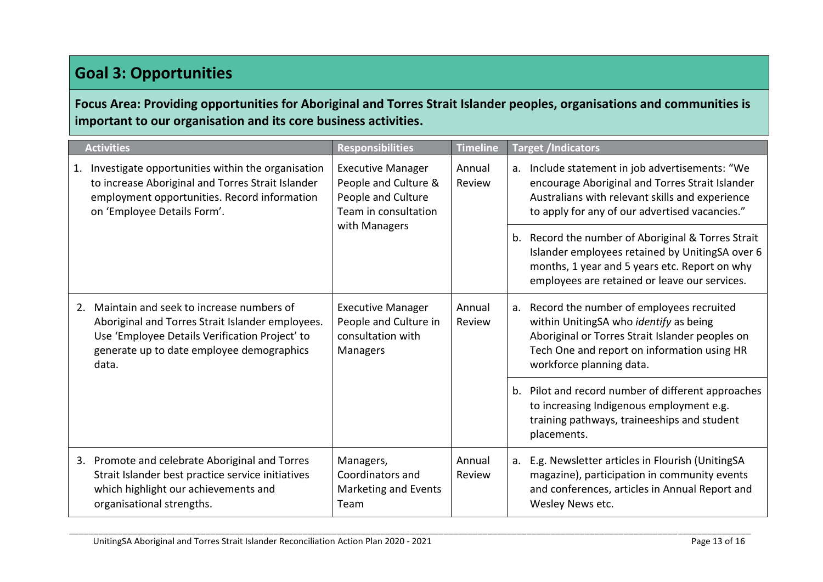### **Goal 3: Opportunities**

### **Focus Area: Providing opportunities for Aboriginal and Torres Strait Islander peoples, organisations and communities is important to our organisation and its core business activities.**

| <b>Activities</b> |                                                                                                                                                                                                      | <b>Responsibilities</b>                                                                        | <b>Timeline</b>  |    | <b>Target /Indicators</b>                                                                                                                                                                                           |                                                                                                                                                                                                         |
|-------------------|------------------------------------------------------------------------------------------------------------------------------------------------------------------------------------------------------|------------------------------------------------------------------------------------------------|------------------|----|---------------------------------------------------------------------------------------------------------------------------------------------------------------------------------------------------------------------|---------------------------------------------------------------------------------------------------------------------------------------------------------------------------------------------------------|
| 1.                | Investigate opportunities within the organisation<br>to increase Aboriginal and Torres Strait Islander<br>employment opportunities. Record information<br>on 'Employee Details Form'.                | <b>Executive Manager</b><br>People and Culture &<br>People and Culture<br>Team in consultation | Annual<br>Review |    |                                                                                                                                                                                                                     | a. Include statement in job advertisements: "We<br>encourage Aboriginal and Torres Strait Islander<br>Australians with relevant skills and experience<br>to apply for any of our advertised vacancies." |
|                   |                                                                                                                                                                                                      | with Managers                                                                                  |                  |    | b. Record the number of Aboriginal & Torres Strait<br>Islander employees retained by UnitingSA over 6<br>months, 1 year and 5 years etc. Report on why<br>employees are retained or leave our services.             |                                                                                                                                                                                                         |
| 2.                | Maintain and seek to increase numbers of<br>Aboriginal and Torres Strait Islander employees.<br>Use 'Employee Details Verification Project' to<br>generate up to date employee demographics<br>data. | <b>Executive Manager</b><br>People and Culture in<br>consultation with<br>Managers             | Annual<br>Review |    | a. Record the number of employees recruited<br>within UnitingSA who identify as being<br>Aboriginal or Torres Strait Islander peoples on<br>Tech One and report on information using HR<br>workforce planning data. |                                                                                                                                                                                                         |
|                   |                                                                                                                                                                                                      |                                                                                                |                  |    | b. Pilot and record number of different approaches<br>to increasing Indigenous employment e.g.<br>training pathways, traineeships and student<br>placements.                                                        |                                                                                                                                                                                                         |
|                   | 3. Promote and celebrate Aboriginal and Torres<br>Strait Islander best practice service initiatives<br>which highlight our achievements and<br>organisational strengths.                             | Managers,<br>Coordinators and<br>Marketing and Events<br>Team                                  | Annual<br>Review | а. | E.g. Newsletter articles in Flourish (UnitingSA<br>magazine), participation in community events<br>and conferences, articles in Annual Report and<br>Wesley News etc.                                               |                                                                                                                                                                                                         |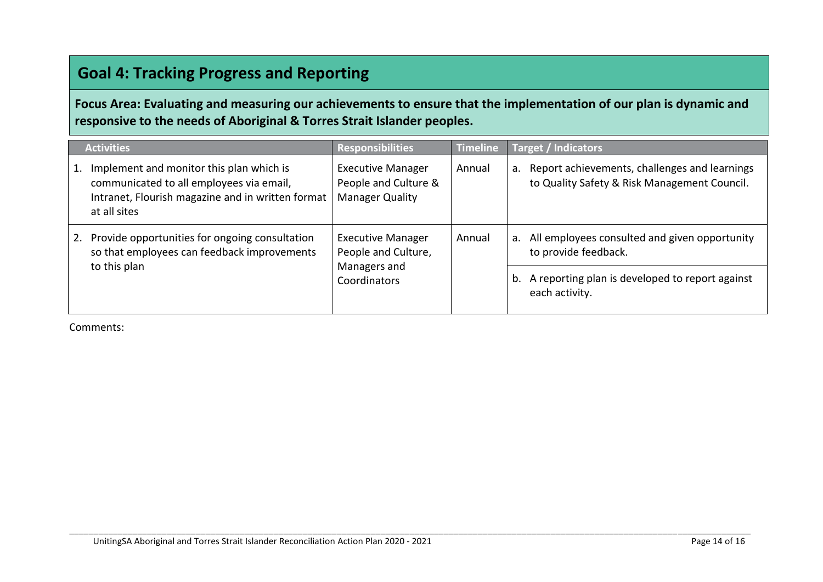### **Goal 4: Tracking Progress and Reporting**

**Focus Area: Evaluating and measuring our achievements to ensure that the implementation of our plan is dynamic and responsive to the needs of Aboriginal & Torres Strait Islander peoples.**

|    | <b>Activities</b>                                                                                                                                         | <b>Responsibilities</b>                                                         | <b>Timeline</b> | Target / Indicators                                                                              |
|----|-----------------------------------------------------------------------------------------------------------------------------------------------------------|---------------------------------------------------------------------------------|-----------------|--------------------------------------------------------------------------------------------------|
| 1. | Implement and monitor this plan which is<br>communicated to all employees via email,<br>Intranet, Flourish magazine and in written format<br>at all sites | <b>Executive Manager</b><br>People and Culture &<br><b>Manager Quality</b>      | Annual          | a. Report achievements, challenges and learnings<br>to Quality Safety & Risk Management Council. |
| 2. | Provide opportunities for ongoing consultation<br>so that employees can feedback improvements<br>to this plan                                             | <b>Executive Manager</b><br>People and Culture,<br>Managers and<br>Coordinators | Annual          | a. All employees consulted and given opportunity<br>to provide feedback.                         |
|    |                                                                                                                                                           |                                                                                 |                 | b. A reporting plan is developed to report against<br>each activity.                             |

\_\_\_\_\_\_\_\_\_\_\_\_\_\_\_\_\_\_\_\_\_\_\_\_\_\_\_\_\_\_\_\_\_\_\_\_\_\_\_\_\_\_\_\_\_\_\_\_\_\_\_\_\_\_\_\_\_\_\_\_\_\_\_\_\_\_\_\_\_\_\_\_\_\_\_\_\_\_\_\_\_\_\_\_\_\_\_\_\_\_\_\_\_\_\_\_\_\_\_\_\_\_\_\_\_\_\_\_\_\_\_\_\_\_\_\_\_\_\_\_\_\_\_\_\_\_\_\_\_\_\_\_\_\_\_\_\_\_\_\_

Comments: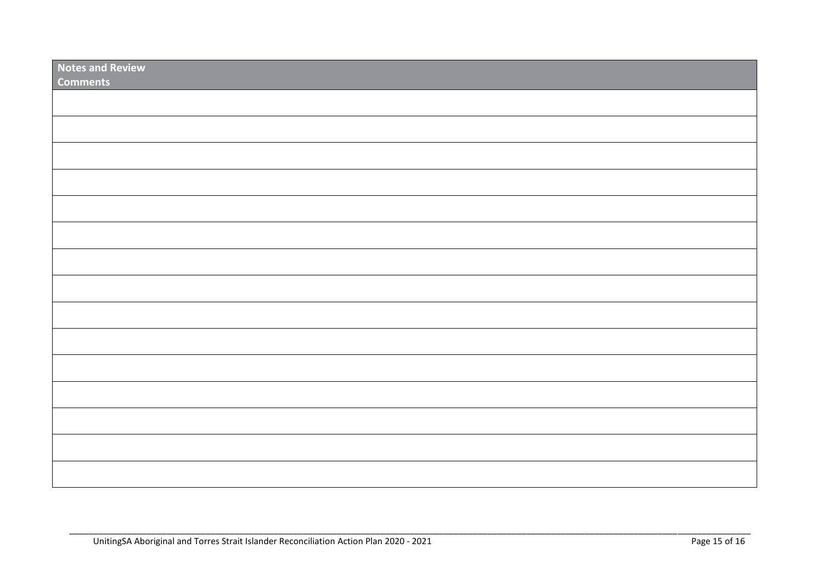| <b>Notes and Review</b><br><b>Comments</b> |  |
|--------------------------------------------|--|
|                                            |  |
|                                            |  |
|                                            |  |
|                                            |  |
|                                            |  |
|                                            |  |
|                                            |  |
|                                            |  |
|                                            |  |
|                                            |  |
|                                            |  |
|                                            |  |
|                                            |  |
|                                            |  |
|                                            |  |